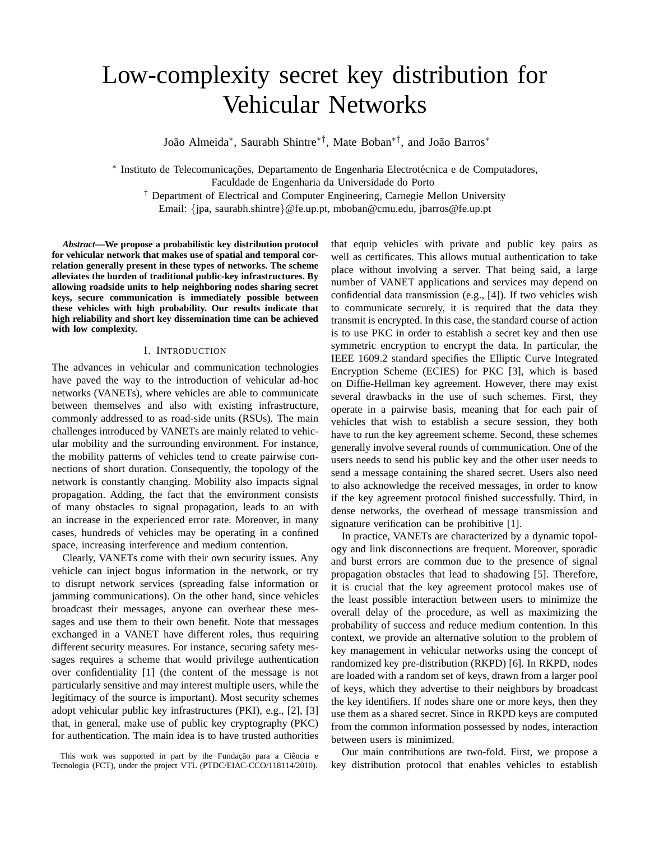# Low-complexity secret key distribution for Vehicular Networks

João Almeida\*, Saurabh Shintre<sup>∗†</sup>, Mate Boban<sup>∗†</sup>, and João Barros\*

\* Instituto de Telecomunicações, Departamento de Engenharia Electrotécnica e de Computadores, Faculdade de Engenharia da Universidade do Porto † Department of Electrical and Computer Engineering, Carnegie Mellon University Email: {jpa, saurabh.shintre}@fe.up.pt, mboban@cmu.edu, jbarros@fe.up.pt

*Abstract***—We propose a probabilistic key distribution protocol for vehicular network that makes use of spatial and temporal correlation generally present in these types of networks. The scheme alleviates the burden of traditional public-key infrastructures. By allowing roadside units to help neighboring nodes sharing secret keys, secure communication is immediately possible between these vehicles with high probability. Our results indicate that high reliability and short key dissemination time can be achieved with low complexity.**

# I. INTRODUCTION

The advances in vehicular and communication technologies have paved the way to the introduction of vehicular ad-hoc networks (VANETs), where vehicles are able to communicate between themselves and also with existing infrastructure, commonly addressed to as road-side units (RSUs). The main challenges introduced by VANETs are mainly related to vehicular mobility and the surrounding environment. For instance, the mobility patterns of vehicles tend to create pairwise connections of short duration. Consequently, the topology of the network is constantly changing. Mobility also impacts signal propagation. Adding, the fact that the environment consists of many obstacles to signal propagation, leads to an with an increase in the experienced error rate. Moreover, in many cases, hundreds of vehicles may be operating in a confined space, increasing interference and medium contention.

Clearly, VANETs come with their own security issues. Any vehicle can inject bogus information in the network, or try to disrupt network services (spreading false information or jamming communications). On the other hand, since vehicles broadcast their messages, anyone can overhear these messages and use them to their own benefit. Note that messages exchanged in a VANET have different roles, thus requiring different security measures. For instance, securing safety messages requires a scheme that would privilege authentication over confidentiality [1] (the content of the message is not particularly sensitive and may interest multiple users, while the legitimacy of the source is important). Most security schemes adopt vehicular public key infrastructures (PKI), e.g., [2], [3] that, in general, make use of public key cryptography (PKC) for authentication. The main idea is to have trusted authorities

This work was supported in part by the Fundação para a Ciência e Tecnologia (FCT), under the project VTL (PTDC/EIAC-CCO/118114/2010). that equip vehicles with private and public key pairs as well as certificates. This allows mutual authentication to take place without involving a server. That being said, a large number of VANET applications and services may depend on confidential data transmission (e.g., [4]). If two vehicles wish to communicate securely, it is required that the data they transmit is encrypted. In this case, the standard course of action is to use PKC in order to establish a secret key and then use symmetric encryption to encrypt the data. In particular, the IEEE 1609.2 standard specifies the Elliptic Curve Integrated Encryption Scheme (ECIES) for PKC [3], which is based on Diffie-Hellman key agreement. However, there may exist several drawbacks in the use of such schemes. First, they operate in a pairwise basis, meaning that for each pair of vehicles that wish to establish a secure session, they both have to run the key agreement scheme. Second, these schemes generally involve several rounds of communication. One of the users needs to send his public key and the other user needs to send a message containing the shared secret. Users also need to also acknowledge the received messages, in order to know if the key agreement protocol finished successfully. Third, in dense networks, the overhead of message transmission and signature verification can be prohibitive [1].

In practice, VANETs are characterized by a dynamic topology and link disconnections are frequent. Moreover, sporadic and burst errors are common due to the presence of signal propagation obstacles that lead to shadowing [5]. Therefore, it is crucial that the key agreement protocol makes use of the least possible interaction between users to minimize the overall delay of the procedure, as well as maximizing the probability of success and reduce medium contention. In this context, we provide an alternative solution to the problem of key management in vehicular networks using the concept of randomized key pre-distribution (RKPD) [6]. In RKPD, nodes are loaded with a random set of keys, drawn from a larger pool of keys, which they advertise to their neighbors by broadcast the key identifiers. If nodes share one or more keys, then they use them as a shared secret. Since in RKPD keys are computed from the common information possessed by nodes, interaction between users is minimized.

Our main contributions are two-fold. First, we propose a key distribution protocol that enables vehicles to establish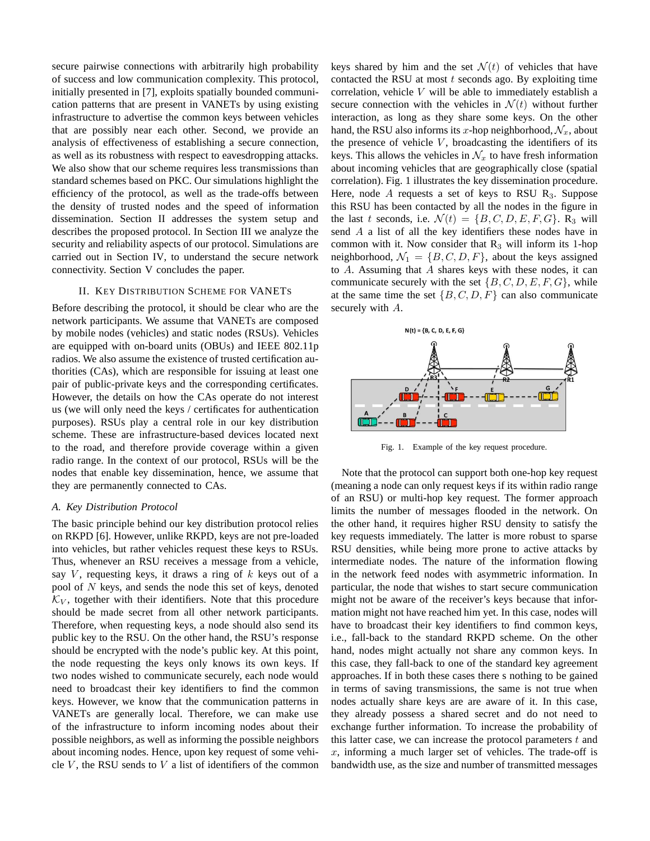secure pairwise connections with arbitrarily high probability of success and low communication complexity. This protocol, initially presented in [7], exploits spatially bounded communication patterns that are present in VANETs by using existing infrastructure to advertise the common keys between vehicles that are possibly near each other. Second, we provide an analysis of effectiveness of establishing a secure connection, as well as its robustness with respect to eavesdropping attacks. We also show that our scheme requires less transmissions than standard schemes based on PKC. Our simulations highlight the efficiency of the protocol, as well as the trade-offs between the density of trusted nodes and the speed of information dissemination. Section II addresses the system setup and describes the proposed protocol. In Section III we analyze the security and reliability aspects of our protocol. Simulations are carried out in Section IV, to understand the secure network connectivity. Section V concludes the paper.

# II. KEY DISTRIBUTION SCHEME FOR VANETS

Before describing the protocol, it should be clear who are the network participants. We assume that VANETs are composed by mobile nodes (vehicles) and static nodes (RSUs). Vehicles are equipped with on-board units (OBUs) and IEEE 802.11p radios. We also assume the existence of trusted certification authorities (CAs), which are responsible for issuing at least one pair of public-private keys and the corresponding certificates. However, the details on how the CAs operate do not interest us (we will only need the keys / certificates for authentication purposes). RSUs play a central role in our key distribution scheme. These are infrastructure-based devices located next to the road, and therefore provide coverage within a given radio range. In the context of our protocol, RSUs will be the nodes that enable key dissemination, hence, we assume that they are permanently connected to CAs.

# *A. Key Distribution Protocol*

The basic principle behind our key distribution protocol relies on RKPD [6]. However, unlike RKPD, keys are not pre-loaded into vehicles, but rather vehicles request these keys to RSUs. Thus, whenever an RSU receives a message from a vehicle, say V, requesting keys, it draws a ring of  $k$  keys out of a pool of N keys, and sends the node this set of keys, denoted  $\mathcal{K}_V$ , together with their identifiers. Note that this procedure should be made secret from all other network participants. Therefore, when requesting keys, a node should also send its public key to the RSU. On the other hand, the RSU's response should be encrypted with the node's public key. At this point, the node requesting the keys only knows its own keys. If two nodes wished to communicate securely, each node would need to broadcast their key identifiers to find the common keys. However, we know that the communication patterns in VANETs are generally local. Therefore, we can make use of the infrastructure to inform incoming nodes about their possible neighbors, as well as informing the possible neighbors about incoming nodes. Hence, upon key request of some vehicle  $V$ , the RSU sends to  $V$  a list of identifiers of the common keys shared by him and the set  $\mathcal{N}(t)$  of vehicles that have contacted the RSU at most  $t$  seconds ago. By exploiting time correlation, vehicle V will be able to immediately establish a secure connection with the vehicles in  $\mathcal{N}(t)$  without further interaction, as long as they share some keys. On the other hand, the RSU also informs its x-hop neighborhood,  $\mathcal{N}_x$ , about the presence of vehicle  $V$ , broadcasting the identifiers of its keys. This allows the vehicles in  $\mathcal{N}_x$  to have fresh information about incoming vehicles that are geographically close (spatial correlation). Fig. 1 illustrates the key dissemination procedure. Here, node A requests a set of keys to RSU  $R_3$ . Suppose this RSU has been contacted by all the nodes in the figure in the last t seconds, i.e.  $\mathcal{N}(t) = \{B, C, D, E, F, G\}$ . R<sub>3</sub> will send A a list of all the key identifiers these nodes have in common with it. Now consider that  $R_3$  will inform its 1-hop neighborhood,  $\mathcal{N}_1 = \{B, C, D, F\}$ , about the keys assigned to A. Assuming that A shares keys with these nodes, it can communicate securely with the set  $\{B, C, D, E, F, G\}$ , while at the same time the set  $\{B, C, D, F\}$  can also communicate securely with A.



Fig. 1. Example of the key request procedure.

Note that the protocol can support both one-hop key request (meaning a node can only request keys if its within radio range of an RSU) or multi-hop key request. The former approach limits the number of messages flooded in the network. On the other hand, it requires higher RSU density to satisfy the key requests immediately. The latter is more robust to sparse RSU densities, while being more prone to active attacks by intermediate nodes. The nature of the information flowing in the network feed nodes with asymmetric information. In particular, the node that wishes to start secure communication might not be aware of the receiver's keys because that information might not have reached him yet. In this case, nodes will have to broadcast their key identifiers to find common keys, i.e., fall-back to the standard RKPD scheme. On the other hand, nodes might actually not share any common keys. In this case, they fall-back to one of the standard key agreement approaches. If in both these cases there s nothing to be gained in terms of saving transmissions, the same is not true when nodes actually share keys are are aware of it. In this case, they already possess a shared secret and do not need to exchange further information. To increase the probability of this latter case, we can increase the protocol parameters  $t$  and  $x$ , informing a much larger set of vehicles. The trade-off is bandwidth use, as the size and number of transmitted messages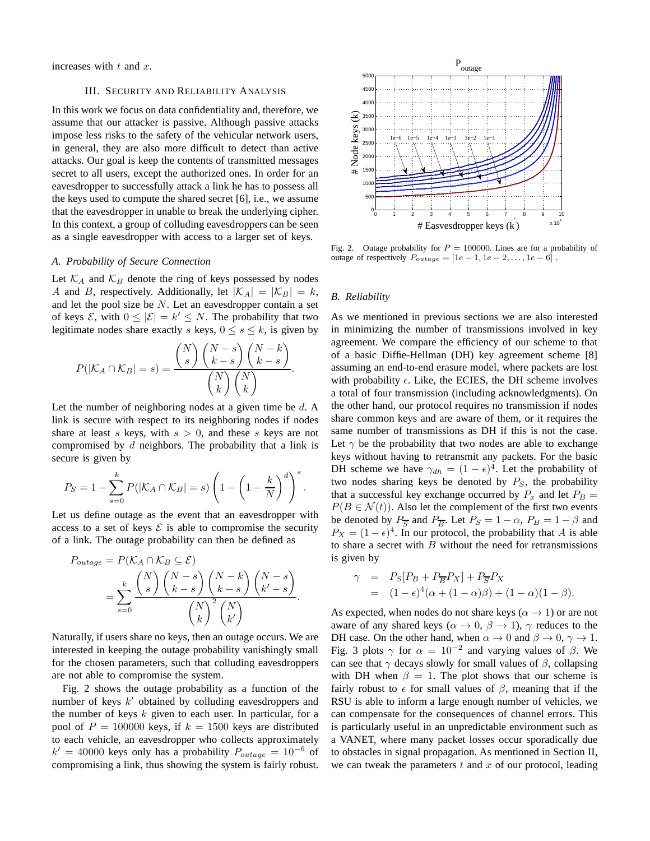increases with  $t$  and  $x$ .

# III. SECURITY AND RELIABILITY ANALYSIS

In this work we focus on data confidentiality and, therefore, we assume that our attacker is passive. Although passive attacks impose less risks to the safety of the vehicular network users, in general, they are also more difficult to detect than active attacks. Our goal is keep the contents of transmitted messages secret to all users, except the authorized ones. In order for an eavesdropper to successfully attack a link he has to possess all the keys used to compute the shared secret [6], i.e., we assume that the eavesdropper in unable to break the underlying cipher. In this context, a group of colluding eavesdroppers can be seen as a single eavesdropper with access to a larger set of keys.

# *A. Probability of Secure Connection*

Let  $\mathcal{K}_A$  and  $\mathcal{K}_B$  denote the ring of keys possessed by nodes A and B, respectively. Additionally, let  $|\mathcal{K}_A| = |\mathcal{K}_B| = k$ , and let the pool size be  $N$ . Let an eavesdropper contain a set of keys  $\mathcal{E}$ , with  $0 \leq |\mathcal{E}| = k' \leq N$ . The probability that two legitimate nodes share exactly s keys,  $0 \leq s \leq k$ , is given by

$$
P(|\mathcal{K}_A \cap \mathcal{K}_B| = s) = \frac{\binom{N}{s} \binom{N-s}{k-s} \binom{N-k}{k-s}}{\binom{N}{k} \binom{N}{k}}.
$$

Let the number of neighboring nodes at a given time be  $d$ . A link is secure with respect to its neighboring nodes if nodes share at least s keys, with  $s > 0$ , and these s keys are not compromised by d neighbors. The probability that a link is secure is given by

$$
P_S = 1 - \sum_{s=0}^{k} P(|\mathcal{K}_A \cap \mathcal{K}_B| = s) \left(1 - \left(1 - \frac{k}{N}\right)^d\right)^s.
$$

Let us define outage as the event that an eavesdropper with access to a set of keys  $\mathcal E$  is able to compromise the security of a link. The outage probability can then be defined as

$$
P_{outage} = P(K_A \cap K_B \subseteq \mathcal{E})
$$
  
= 
$$
\sum_{s=0}^{k} {N \choose s} {N-s \choose k-s} {N-k \choose k-s} {N-s \choose k'-s}
$$
  

$$
{N \choose k}^{2} {N \choose k'}
$$

Naturally, if users share no keys, then an outage occurs. We are interested in keeping the outage probability vanishingly small for the chosen parameters, such that colluding eavesdroppers are not able to compromise the system.

Fig. 2 shows the outage probability as a function of the number of keys  $k'$  obtained by colluding eavesdroppers and the number of keys  $k$  given to each user. In particular, for a pool of  $P = 100000$  keys, if  $k = 1500$  keys are distributed to each vehicle, an eavesdropper who collects approximately  $k' = 40000$  keys only has a probability  $P_{outage} = 10^{-6}$  of compromising a link, thus showing the system is fairly robust.



Fig. 2. Outage probability for  $P = 100000$ . Lines are for a probability of outage of respectively  $P_{outage} = [1e - 1, 1e - 2, \dots, 1e - 6]$ .

#### *B. Reliability*

As we mentioned in previous sections we are also interested in minimizing the number of transmissions involved in key agreement. We compare the efficiency of our scheme to that of a basic Diffie-Hellman (DH) key agreement scheme [8] assuming an end-to-end erasure model, where packets are lost with probability  $\epsilon$ . Like, the ECIES, the DH scheme involves a total of four transmission (including acknowledgments). On the other hand, our protocol requires no transmission if nodes share common keys and are aware of them, or it requires the same number of transmissions as DH if this is not the case. Let  $\gamma$  be the probability that two nodes are able to exchange keys without having to retransmit any packets. For the basic DH scheme we have  $\gamma_{dh} = (1 - \epsilon)^{\frac{1}{4}}$ . Let the probability of two nodes sharing keys be denoted by  $P<sub>S</sub>$ , the probability that a successful key exchange occurred by  $P_x$  and let  $P_B =$  $P(B \in \mathcal{N}(t))$ . Also let the complement of the first two events be denoted by  $P_{\overline{S}}$  and  $P_{\overline{B}}$ . Let  $P_S = 1 - \alpha$ ,  $P_B = 1 - \beta$  and  $P_X = (1 - \epsilon)^4$ . In our protocol, the probability that A is able to share a secret with  $B$  without the need for retransmissions is given by

$$
\gamma = P_S[P_B + P_{\overline{B}}P_X] + P_{\overline{S}}P_X
$$
  
= 
$$
(1 - \epsilon)^4 (\alpha + (1 - \alpha)\beta) + (1 - \alpha)(1 - \beta).
$$

As expected, when nodes do not share keys ( $\alpha \rightarrow 1$ ) or are not aware of any shared keys ( $\alpha \rightarrow 0$ ,  $\beta \rightarrow 1$ ),  $\gamma$  reduces to the DH case. On the other hand, when  $\alpha \to 0$  and  $\beta \to 0$ ,  $\gamma \to 1$ . Fig. 3 plots  $\gamma$  for  $\alpha = 10^{-2}$  and varying values of  $\beta$ . We can see that  $\gamma$  decays slowly for small values of  $\beta$ , collapsing with DH when  $\beta = 1$ . The plot shows that our scheme is fairly robust to  $\epsilon$  for small values of  $\beta$ , meaning that if the RSU is able to inform a large enough number of vehicles, we can compensate for the consequences of channel errors. This is particularly useful in an unpredictable environment such as a VANET, where many packet losses occur sporadically due to obstacles in signal propagation. As mentioned in Section II, we can tweak the parameters  $t$  and  $x$  of our protocol, leading